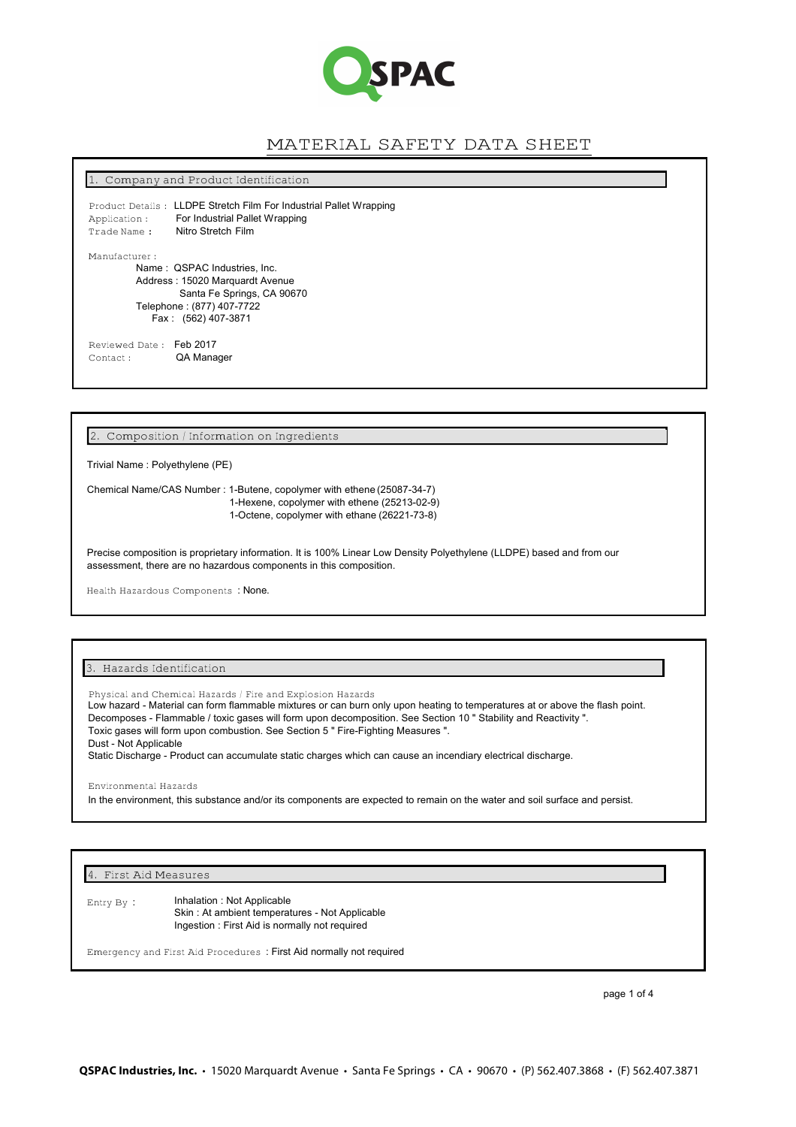

# MATERIAL SAFETY DATA SHEET

1. Company and Product Identification

Product Details : LLDPE Stretch Film For Industrial Pallet Wrapping Application : For Industrial Pallet Wrapping Trade Name : Nitro Stretch Film

Manufacturer :

Name : QSPAC Industries, Inc. Address : 15020 Marquardt Avenue Santa Fe Springs, CA 90670 Telephone : (877) 407-7722 Fax : (562) 407-3871

Reviewed Date: Feb 2017<br>Contact: QA Mana QA Manager

2. Composition / Information on Ingredients

Trivial Name : Polyethylene (PE)

Chemical Name/CAS Number : 1-Butene, copolymer with ethene (25087-34-7) 1-Hexene, copolymer with ethene (25213-02-9) 1-Octene, copolymer with ethane (26221-73-8)

Precise composition is proprietary information. It is 100% Linear Low Density Polyethylene (LLDPE) based and from our assessment, there are no hazardous components in this composition.

Health Hazardous Components : None.

#### 3. Hazards Identification

Physical and Chemical Hazards / Fire and Explosion Hazards Low hazard - Material can form flammable mixtures or can burn only upon heating to temperatures at or above the flash point. Decomposes - Flammable / toxic gases will form upon decomposition. See Section 10 " Stability and Reactivity ". Toxic gases will form upon combustion. See Section 5 " Fire-Fighting Measures ". Dust - Not Applicable Static Discharge - Product can accumulate static charges which can cause an incendiary electrical discharge.

Environmental Hazards

In the environment, this substance and/or its components are expected to remain on the water and soil surface and persist.

4. First Aid Measures

Inhalation : Not Applicable Skin : At ambient temperatures - Not Applicable Ingestion : First Aid is normally not required Entry By :

Emergency and First Aid Procedures : First Aid normally not required

page 1 of 4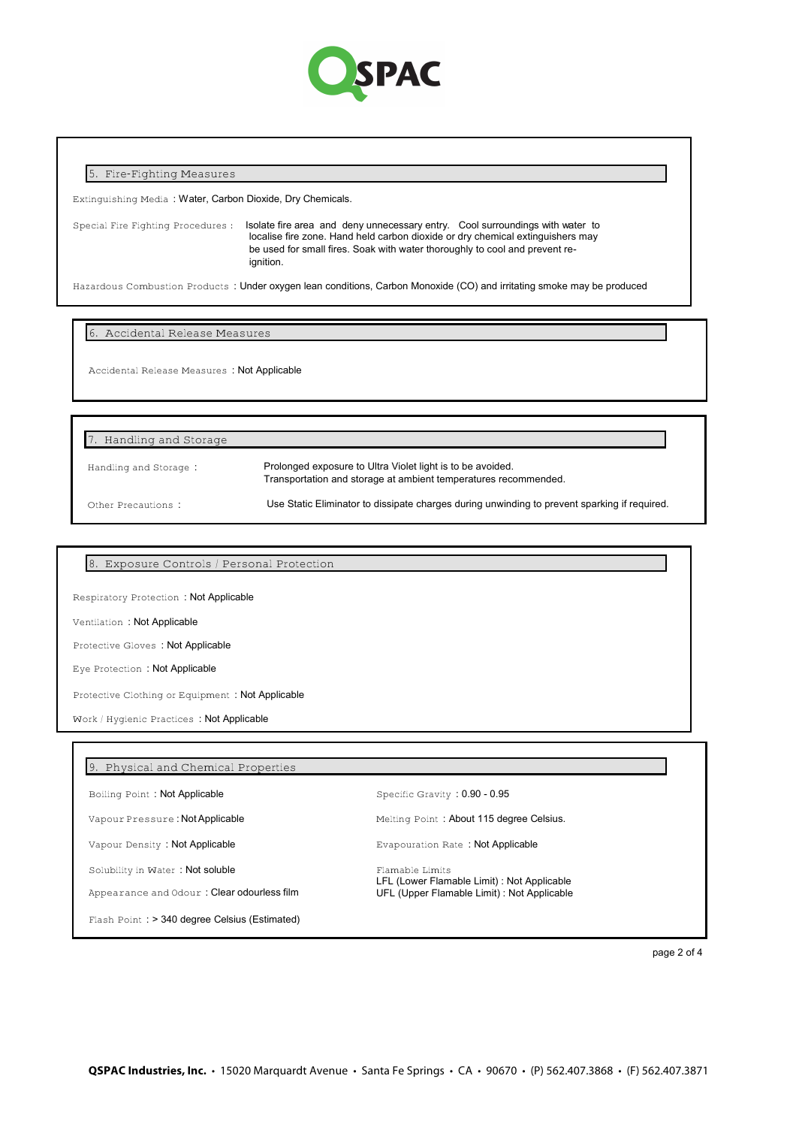

## 5. Fire-Fighting Measures

Extinguishing Media : Water, Carbon Dioxide, Dry Chemicals.

Special Fire Fighting Procedures : Isolate fire area and deny unnecessary entry. Cool surroundings with water to localise fire zone. Hand held carbon dioxide or dry chemical extinguishers may be used for small fires. Soak with water thoroughly to cool and prevent reignition.

Hazardous Combustion Products : Under oxygen lean conditions, Carbon Monoxide (CO) and irritating smoke may be produced

6. Accidental Release Measures

Accidental Release Measures : Not Applicable

Other Precautions : Use Static Eliminator to dissipate charges during unwinding to prevent sparking if required. Prolonged exposure to Ultra Violet light is to be avoided. Transportation and storage at ambient temperatures recommended. Handling and Storage: 7. Handling and Storage

8. Exposure Controls / Personal Protection

Respiratory Protection : Not Applicable

Ventilation : Not Applicable

Protective Gloves : Not Applicable

Eye Protection : Not Applicable

Protective Clothing or Equipment : Not Applicable

Work / Hygienic Practices : Not Applicable

# 9. Physical and Chemical Properties

Boiling Point: Not Applicable Specific Gravity : 0.90 - 0.95

Solubility in Water : Not soluble

Appearance and Odour : Clear odourless film

Flash Point : > 340 degree Celsius (Estimated)

Vapour Pressure : Not Applicable Melting Point : About 115 degree Celsius.

Vapour Density : Not Applicable **Evapouration Rate : Not Applicable** Evapouration Rate : Not Applicable

Flamable Limits LFL (Lower Flamable Limit) : Not Applicable UFL (Upper Flamable Limit) : Not Applicable

page 2 of 4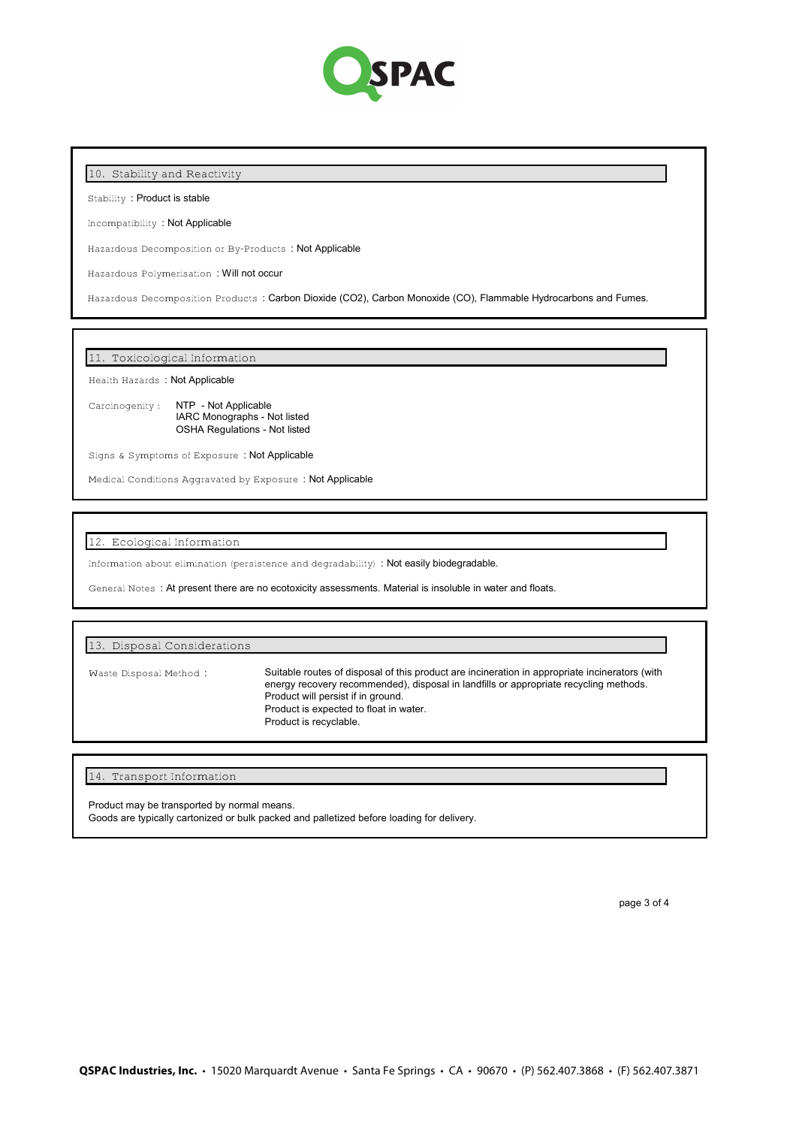

## 10. Stability and Reactivity

Stability : Product is stable

Incompatibility : Not Applicable

Hazardous Decomposition or By-Products : Not Applicable

Hazardous Polymerisation : Will not occur

Hazardous Decomposition Products : Carbon Dioxide (CO2), Carbon Monoxide (CO), Flammable Hydrocarbons and Fumes.

11. Toxicological Information

Health Hazards : Not Applicable

Carcinogenity : NTP - Not Applicable IARC Monographs - Not listed OSHA Regulations - Not listed

Signs & Symptoms of Exposure : Not Applicable

Medical Conditions Aggravated by Exposure : Not Applicable

12. Ecological Information

Information about elimination (persistence and degradability) : Not easily biodegradable.

General Notes : At present there are no ecotoxicity assessments. Material is insoluble in water and floats.

#### 13. Disposal Considerations

Waste Disposal Method :

Suitable routes of disposal of this product are incineration in appropriate incinerators (with energy recovery recommended), disposal in landfills or appropriate recycling methods. Product will persist if in ground. Product is expected to float in water. Product is recyclable.

14. Transport Information

Product may be transported by normal means.

Goods are typically cartonized or bulk packed and palletized before loading for delivery.

page 3 of 4